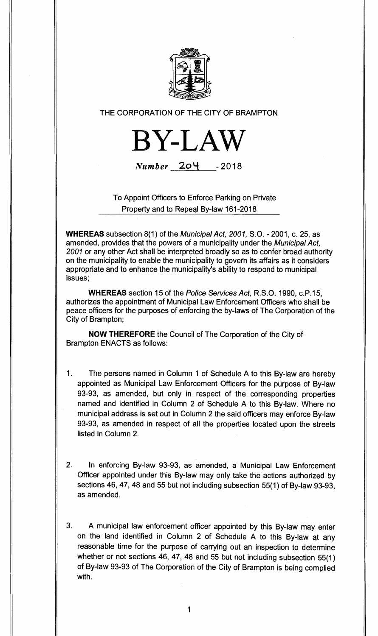

# THE CORPORATION OF THE CITY OF BRAMPTON



Number 204 - **<sup>2018</sup>**

To Appoint Officers to Enforce Parking on Private Property and to Repeal By-law 161-2018

**WHEREAS** subsection 8(1) of the Municipal Act, 2001, S.O. - 2001, c. 25, as amended, provides that the powers of a municipality under the Municipal Act, 2001 or any other Act shall be interpreted broadly so as to confer broad authority on the municipality to enable the municipality to govern its affairs as it considers appropriate and to enhance the municipality's ability to respond to municipal issues;

**WHEREAS** section 15 of the Police Services Act, R.S.O. 1990, c.P.15, authorizes the appointment of Municipal Law Enforcement Officers who shall be peace officers for the purposes of enforcing the by-laws of The Corporation of the City of Brampton;

**NOW THEREFORE** the Council of The Corporation of the City of Brampton ENACTS as follows:

- 1. The persons named in Column 1 of Schedule A to this By-law are hereby appointed as Municipal Law Enforcement Officers for the purpose of By-law 93-93, as amended, but only in respect of the corresponding properties named and identified in Column 2 of Schedule A to this By-law. Where no municipal address is set out in Column 2 the said officers may enforce By-law 93-93, as amended in respect of all the properties located upon the streets listed in Column 2.
- 2. In enforcing By-law 93-93, as amended, a Municipal Law Enforcement Officer appointed under this By-law may only take the actions authorized by sections 46, 47, 48 and 55 but not including subsection 55(1) of By-law 93-93, as amended.

3. A municipal law enforcement officer appointed by this By-law may enter on the land identified in Column 2 of Schedule A to this By-law at any reasonable time for the purpose of carrying out an inspection to determine whether or not sections 46, 47, 48 and 55 but not including subsection 55(1) of By-law 93-93 of The Corporation of the City of Brampton is being complied with.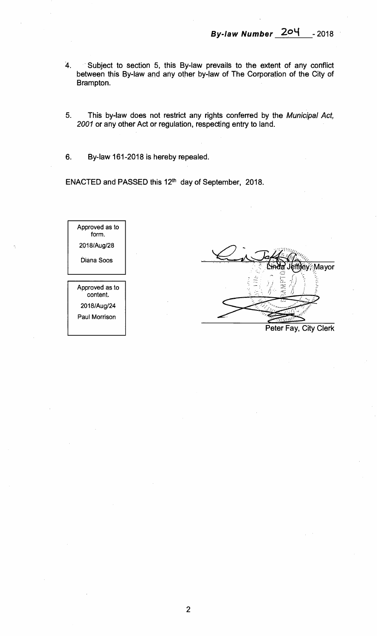- **4. Subject to section 5, this By-law prevails to the extent of any conflict between this By-law and any other by-law of The Corporation of the City of Brampton.**
- **5. This by-law does not restrict any rights conferred by the** Municipal Act, 2001 **or any other Act or regulation, respecting entry to land.**
- **6. By-law 161-2018 is hereby repealed.**

ENACTED and PASSED this 12<sup>th</sup> day of September, 2018.

| Approved as to<br>form     |  |
|----------------------------|--|
| 2018/Aug/28                |  |
| Diana Soos                 |  |
|                            |  |
| Approved as to<br>content. |  |
| 2018/Aug/24                |  |
|                            |  |
| Paul Morrison              |  |

Mayor

**Peter Fay, City Clerk**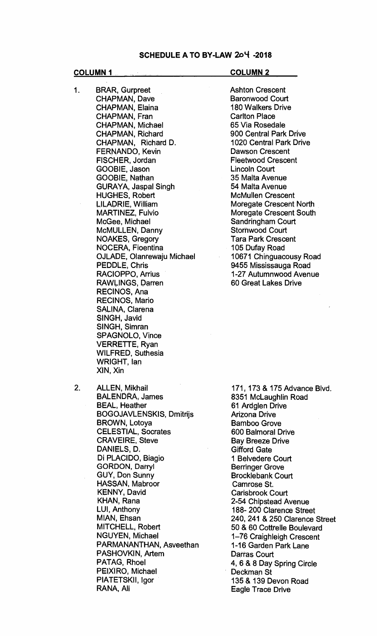### **SCHEDULE A TO BY-LAW 204 -2018**

**1 BRAR, Gurpreet CHAPMAN, Dave CHAPMAN, Elaina CHAPMAN, Fran CHAPMAN, Michael CHAPMAN, Richard CHAPMAN, Richard D. FERNANDO, Kevin FISCHER, Jordan GOOBIE, Jason GOOBIE, Nathan GURAYA, Jaspal Singh HUGHES, Robert LILADRIE, William MARTINEZ, Fulvio McGee, Michael McMULLEN, Danny NOAKES, Gregory NOCERA, Fioentina OJLADE, Olanrewaju Michael PEDDLE, Chris RACIOPPO, Arrius RAWLINGS, Darren RECINOS, Ana RECINOS, Mario SALINA, Clarena SINGH, Javid SINGH, Simran SPAGNOLO, Vince VERRETTE, Ryan WILFRED, Suthesia WRIGHT, Ian XIN, Xin** 

### **COLUMN 1** COLUMN 2

**Ashton Crescent Baronwood Court 180 Walkers Drive Carlton Place 65 Via Rosedale 900 Central Park Drive 1020 Central Park Drive Dawson Crescent Fleetwood Crescent Lincoln Court 35 Malta Avenue 54 Malta Avenue McMullen Crescent Moregate Crescent North Moregate Crescent South Sandringham Court Stornwood Court Tara Park Crescent 105 Dufay Road 10671 Chinguacousy Road 9455 Mississauga Road 1-27 Autumnwood Avenue 60 Great Lakes Drive** 

**2. ALLEN, Mikhail BALENDRA, James BEAL, Heather BOGOJAVLENSKIS, Dmitrijs BROWN, Lotoya CELESTIAL, Socrates CRAVEIRE, Steve DANIELS, D. Di PLACIDO, Biagio GORDON, Darryl GUY, Don Sunny HASSAN, Mabroor KENNY, David KHAN, Rana LUI, Anthony MIAN, Ehsan MITCHELL, Robert NGUYEN, Michael PARMANANTHAN, Asveethan PASHOVKIN, Artem PATAG, Rhoel PEIXIRO, Michael PIATETSKII, Igor RANA, Ali** 

**171, 173 & 175 Advance Blvd. 8351 McLaughlin Road 61 Ardglen Drive Arizona Drive Bamboo Grove 600 Balmoral Drive Bay Breeze Drive Gifford Gate 1 Belvedere Court Berringer Grove Brocklebank Court Camrose St. Carisbrook Court 2-54 Chipstead Avenue 188- 200 Clarence Street 240, 241 & 250 Clarence Street 50 & 60 Cottrelle Boulevard 1-76 Craighleigh Crescent 1-16 Garden Park Lane Darras Court 4, 6 & 8 Day Spring Circle Deckman St 135 & 139 Devon Road Eagle Trace Drive**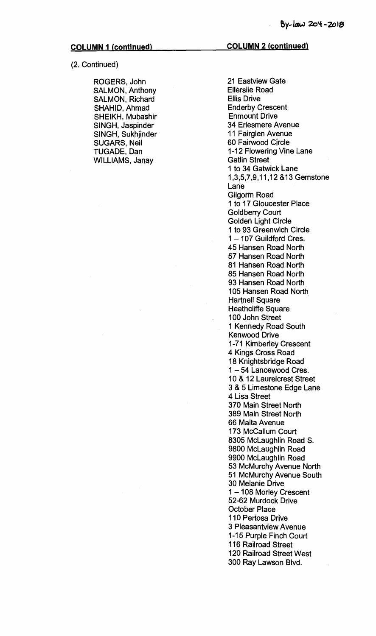**(2. Continued)** 

**ROGERS, John SALMON, Anthony SALMON, Richard SHAHID, Ahmad SHEIKH, Mubashir SINGH, Jaspinder SINGH, Sukhjinder SUGARS, Neil TUGADE, Dan WILLIAMS, Janay** 

**21 Eastview Gate Ellerslie Road Ellis Drive Enderby Crescent Enmount Drive 34 Erlesmere Avenue 11 Fairglen Avenue 60 Fairwood Circle 1-12 Flowering Vine Lane Gatlin Street 1 to 34 Gatwick Lane 1,3,5,7,9,11,12 &13 Gemstone Lane Gilgorm Road 1 to 17 Gloucester Place Goldberry Court Golden Light Circle 1 to 93 Greenwich Circle 1 — 107 Guildford Cres. 45 Hansen Road North 57 Hansen Road North 81 Hansen Road North 85 Hansen Road North 93 Hansen Road North 105 Hansen Road North Hartnell Square Heathcliffe Square 100 John Street 1 Kennedy Road South Kenwood Drive 1-71 Kimberley Crescent 4 Kings Cross Road 18 Knightsbridge Road 1 — 54 Lancewood Cres. 10 & 12 Laurelcrest Street 3 & 5 Limestone Edge Lane 4 Lisa Street 370 Main Street North 389 Main Street North 66 Malta Avenue 173 McCallum Court 8305 McLaughlin Road S. 9800 McLaughlin Road 9900 McLaughlin Road 53 McMurchy Avenue North 51 McMurchy Avenue South 30 Melanie Drive 1 — 108 Morley Crescent 52-62 Murdock Drive October Place 110 Pertosa Drive 3 Pleasantview Avenue 1-15 Purple Finch Court 116 Railroad Street 120 Railroad Street West 300 Ray Lawson Blvd.**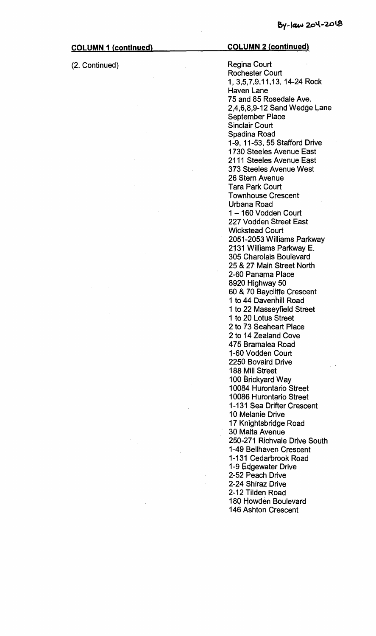**(2. Continued) Regina Court** 

### **COLUMN 1 (continued) COLUMN 2 (continued)**

**Rochester Court 1, 3,5,7,9,11,13, 14-24 Rock Haven Lane 75 and 85 Rosedale Ave. 2,4,6,8,9-12 Sand Wedge Lane September Place Sinclair Court Spadina Road 1-9, 11-53, 55 Stafford Drive 1730 Steeles Avenue East 2111 Steeles Avenue East 373 Steeles Avenue West 26 Stern Avenue Tara Park Court Townhouse Crescent Urbana Road 1 — 160 Vodden Court 227 Vodden Street East Wickstead Court 2051-2053 Williams Parkway 2131 Williams Parkway E. 305 Charolais Boulevard 25 & 27 Main Street North 2-60 Panama Place 8920 Highway 50 60 & 70 Baycliffe Crescent 1 to 44 Davenhill Road 1 to 22 Masseyfield Street 1 to 20 Lotus Street 2 to 73 Seaheart Place 2 to 14 Zealand Cove 475 Bramalea Road 1-60 Vodden Court 2250 Bovaird Drive 188 Mill Street 100 Brickyard Way 10084 Hurontario Street 10086 Hurontario Street 1-131 Sea Drifter Crescent 10 Melanie Drive 17 Knightsbridge Road 30 Malta Avenue 250-271 Richvale Drive South 1-49 Bellhaven Crescent 1-131 Cedarbrook Road 1-9 Edgewater Drive 2-52 Peach Drive 2-24 Shiraz Drive 2-12 Tilden Road 180 Howden Boulevard 146 Ashton Crescent**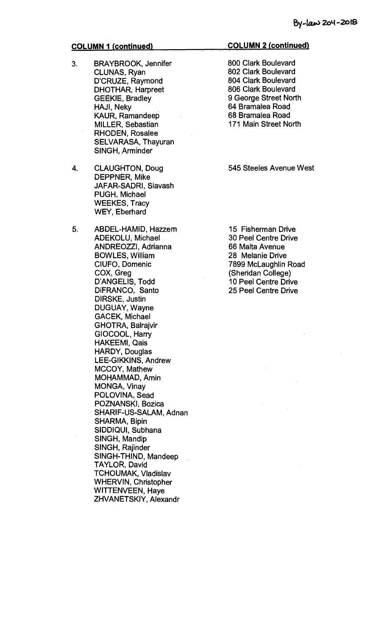- **3. BRAYBROOK, Jennifer CLUNAS, Ryan D'CRUZE, Raymond DHOTHAR, Harpreet GEEKIE, Bradley HAJI, Neky KAUR, Ramandeep MILLER, Sebastian RHODEN, Rosalee SELVARASA, Thayuran SINGH, Arminder**
- **4. CLAUGHTON, Doug DEPPNER, Mike JAFAR-SADRI, Siavash PUGH, Michael WEEKES, Tracy WEY, Eberhard**
- **5. ABDEL-HAMID, Hazzem ADEKOLU, Michael ANDREOZZI, Adrianna BOWLES, William CIUFO, Domenic COX, Greg D'ANGELIS, Todd DiFRANCO, Santo DIRSKE, Justin DUGUAY, Wayne GACEK, Michael GHOTRA, Balrajvir GIOCOOL, Harry HAKEEMI, Qais HARDY, Douglas LEE-GIKKINS, Andrew MCCOY, Mathew MOHAMMAD, Amin MONGA, Vinay POLOVINA, Sead POZNANSKI, Bozica SHARIF-US-SALAM, Adnan SHARMA, Bipin SIDDIQUI, Subhana SINGH, Mandip SINGH, Rajinder SINGH-THIND, Mandeep TAYLOR, David TCHOUMAK, Vladislav WHERVIN, Christopher WITTENVEEN, Haye ZHVANETSKIY, Alexandr**

### **COLUMN 2 (continued)**

**800 Clark Boulevard 802 Clark Boulevard 804 Clark Boulevard 806 Clark Boulevard 9 George Street North 64 Bramalea Road 68 Bramalea Road 171 Main Street North** 

### **545 Steeles Avenue West**

**15 Fisherman Drive 30 Peel Centre Drive 66 Malta Avenue 28 Melanie Drive 7899 McLaughlin Road (Sheridan College) 10 Peel Centre Drive 25 Peel Centre Drive**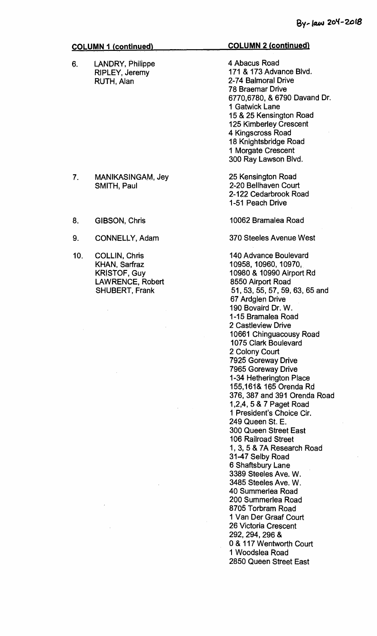6. LANDRY, Philippe RIPLEY, Jeremy RUTH, Alan

### **COLUMN 2 (continued)**

4 Abacus Road 171 & 173 Advance Blvd. 2-74 Balmoral Drive 78 Braemar Drive 6770,6780, & 6790 Davand Dr. **1** Gatwick Lane 15 & 25 Kensington Road 125 Kimberley Crescent 4 Kingscross Road 18 Knightsbridge Road **1** Morgate Crescent 300 Ray Lawson Blvd.

25 Kensington Road 2-20 Bellhaven Court 2-122 Cedarbrook Road 1-51 Peach Drive

10062 Bramalea Road

370 Steeles Avenue West

140 Advance Boulevard 10958, 10960, 10970, 10980 & 10990 Airport Rd 8550 Airport Road 51, 53, 55, 57, 59, 63, 65 and 67 Ardglen Drive 190 Bovaird Dr. W. 1-15 Bramalea Road 2 Castleview Drive 10661 Chinguacousy Road 1075 Clark Boulevard 2 Colony Court 7925 Goreway Drive 7965 Goreway Drive 1-34 Hetherington Place 155,161& 165 Orenda Rd 376, 387 and 391 Orenda Road 1,2,4, 5 & 7 Paget Road **1** President's Choice Cir. 249 Queen St. E. 300 Queen Street East 106 Railroad Street 1, 3, 5 & 7A Research Road 31-47 Selby Road 6 Shaftsbury Lane 3389 Steeles Ave. W. 3485 Steeles Ave. W. 40 Summerlea Road 200 Summerlea Road 8705 Torbram Road 1 Van Der Graaf Court 26 Victoria Crescent 292, 294, 296 & 0 & 117 Wentworth Court **1** Woodslea Road 2850 Queen Street East

- 7. MANIKASINGAM, Jey SMITH, Paul
- 8. GIBSON, Chris
- 9. CONNELLY, Adam
- 10. COLLIN, Chris KHAN, Sarfraz KRISTOF, Guy LAWRENCE, Robert SHUBERT, Frank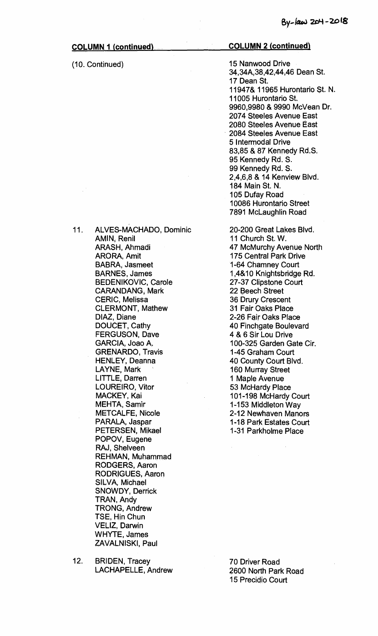(10. Continued)

## **COLUMN 2 (continued)**

15 Nanwood Drive 34,34A,38,42,44,46 Dean St. 17 Dean St. 11947& 11965 Hurontario St. N. 11005 Hurontario St. 9960,9980 & 9990 McVean Dr. 2074 Steeles Avenue East 2080 Steeles Avenue East 2084 Steeles Avenue East 5 Intermodal Drive 83,85 & 87 Kennedy Rd.S. 95 Kennedy Rd. S. 99 Kennedy Rd. S. 2,4,6,8 & 14 Kenview Blvd. 184 Main St. N. 105 Dufay Road 10086 Hurontario Street 7891 McLaughlin Road

20-200 Great Lakes Blvd. 11 Church St. W. 47 McMurchy Avenue North 175 Central Park Drive 1-64 Chamney Court 1,4&10 Knightsbridge Rd. 27-37 Clipstone Court 22 Beech Street 36 Drury Crescent 31 Fair Oaks Place 2-26 Fair Oaks Place 40 Finchgate Boulevard 4 & 6 Sir Lou Drive 100-325 Garden Gate Cir. 1-45 Graham Court 40 County Court Blvd. 160 Murray Street 1 Maple Avenue 53 McHardy Place 101-198 McHardy Court 1-153 Middleton Way 2-12 Newhaven Manors 1-18 Park Estates Court 1-31 Parkholme Place

11. ALVES-MACHADO, Dominic AMIN, Renil ARASH, Ahmadi ARORA, Amit BABRA, Jasmeet BARNES, James BEDENIKOVIC, Carole CARANDANG, Mark CERIC, Melissa CLERMONT, Mathew DIAZ, Diane DOUCET, Cathy FERGUSON, Dave GARCIA, Joao A. GRENARDO, Travis HENLEY, Deanna LAYNE, Mark LITTLE, Darren LOUREIRO, Vitor MACKEY, Kai MEHTA, Samir METCALFE, Nicole PARALA, Jaspar PETERSEN, Mikael POPOV, Eugene RAJ, Shelveen REHMAN, Muhammad RODGERS, Aaron RODRIGUES, Aaron SILVA, Michael SNOWDY, Derrick TRAN, Andy TRONG, Andrew TSE, Hin Chun VELIZ, Darwin WHYTE, James ZAVALNISKI, Paul

12. BRIDEN, Tracey LACHAPELLE, Andrew

70 Driver Road 2600 North Park Road 15 Precidio Court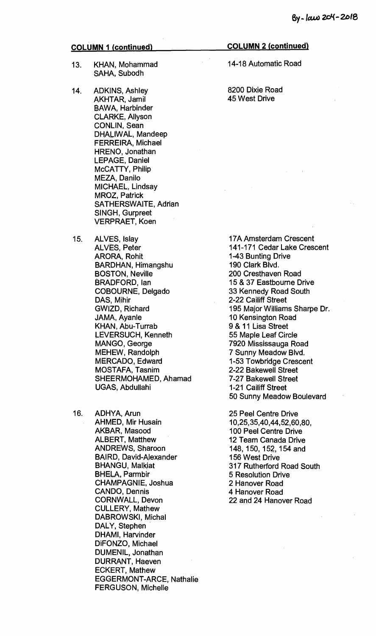- **13. KHAN, Mohammad SAHA, Subodh**
- **14. ADKINS, Ashley AKHTAR, Jamil BAWA, Harbinder CLARKE, Allyson CONLIN, Sean DHALIWAL, Mandeep FERREIRA, Michael HRENO, Jonathan LEPAGE, Daniel McCATTY, Philip MEZA, Danilo MICHAEL, Lindsay MROZ, Patrick SATHERSWAITE, Adrian SINGH, Gurpreet VERPRAET, Koen**
- **15. ALVES, Islay ALVES, Peter ARORA, Rohit BARDHAN, Himangshu BOSTON, Neville BRADFORD, Ian COBOURNE, Delgado DAS, Mihir GWIZD, Richard JAMA, Ayanle KHAN, Abu-Turrab LEVERSUCH, Kenneth MANGO, George MEHEW, Randolph MERCADO, Edward MOSTAFA, Tasnim SHEERMOHAMED, Ahamad UGAS, Abdullahi**
- **16. ADHYA, Arun AHMED, Mir Husain AKBAR, Masood ALBERT, Matthew ANDREWS, Sharoon BAIRD, David-Alexander BHANGU, Malkiat BHELA, Parmbir CHAMPAGNIE, Joshua CANDO, Dennis CORNWALL, Devon CULLERY, Mathew DABROWSKI, Michal DALY, Stephen DHAMI, Harvinder DiFONZO, Michael DUMENIL, Jonathan DURRANT, Haeven ECKERT, Mathew EGGERMONT-ARCE, Nathalie FERGUSON, Michelle**

### **COLUMN 2 (continued)**

**14-18 Automatic Road** 

**8200 Dixie Road 45 West Drive** 

**17A Amsterdam Crescent 141-171 Cedar Lake Crescent 1-43 Bunting Drive 190 Clark Blvd. 200 Cresthaven Road 15 & 37 Eastbourne Drive 33 Kennedy Road South 2-22 Cailiff Street 195 Major Williams Sharpe Dr. 10 Kensington Road 9 & 11 Lisa Street 55 Maple Leaf Circle 7920 Mississauga Road 7 Sunny Meadow Blvd. 1-53 Towbridge Crescent 2-22 Bakewell Street 7-27 Bakewell Street 1-21 Cailiff Street 50 Sunny Meadow Boulevard** 

**25 Peel Centre Drive 10,25,35,40,44,52,60,80, 100 Peel Centre Drive 12 Team Canada Drive 148, 150, 152, 154 and 156 West Drive 317 Rutherford Road South 5 Resolution Drive 2 Hanover Road 4 Hanover Road 22 and 24 Hanover Road**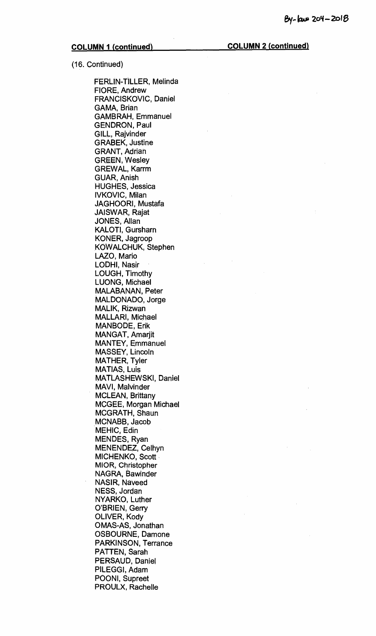(16. Continued)

FERLIN-TILLER, Melinda FIORE, Andrew FRANCISKOVIC, Daniel GAMA, Brian GAMBRAH, Emmanuel GENDRON, Paul GILL, Rajvinder GRABEK, Justine GRANT, Adrian GREEN, Wesley GREWAL, Karrm GUAR, Anish HUGHES, Jessica IVKOVIC, Milan JAGHOORI, Mustafa JAISWAR, Rajat JONES, Allan KALOTI, Gursharn KONER, Jagroop KOWALCHUK, Stephen LAZO, Mario LODHI, Nasir LOUGH, Timothy LUONG, Michael MALABANAN, Peter MALDONADO, Jorge MALIK, Rizwan MALLARI, Michael MANBODE, Erik MANGAT, Amarjit MANTEY, Emmanuel MASSEY, Lincoln MATHER, Tyler MATIAS, Luis MATLASHEWSKI, Daniel MAVI, Malvinder MCLEAN, Brittany MCGEE, Morgan Michael MCGRATH, Shaun MCNABB, Jacob MEHIC, Edin MENDES, Ryan MENENDEZ, Celhyn MICHENKO, Scott MIOR, Christopher NAGRA, Bawinder NASIR, Naveed NESS, Jordan NYARKO, Luther O'BRIEN, Gerry OLIVER, Kody OMAS-AS, Jonathan OSBOURNE, Damone PARKINSON, Terrance PATTEN, Sarah PERSAUD, Daniel PILEGGI, Adam POONI, Supreet PROULX, Rachelle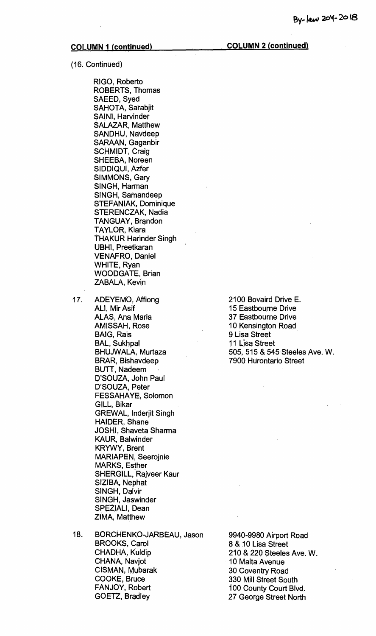(16. Continued)

RIGO, Roberto ROBERTS, Thomas SAEED, Syed SAHOTA, Sarabjit SAINI, Harvinder SALAZAR, Matthew SANDHU, Navdeep SARAAN, Gaganbir SCHMIDT, Craig SHEEBA, Noreen SIDDIQUI, Azfer SIMMONS, Gary SINGH, Harman SINGH, Samandeep STEFANIAK, Dominique STERENCZAK, Nadia TANGUAY, Brandon TAYLOR, Kiara THAKUR Harinder Singh UBHI, Preetkaran VENAFRO, Daniel WHITE, Ryan WOODGATE, Brian ZABALA, Kevin

- 17. ADEYEMO, Affiong ALI, Mir Asif ALAS, Ana Maria AMISSAH, Rose BAIG, Rais BAL, Sukhpal BHUJWALA, Murtaza BRAR, Bishavdeep BUTT, Nadeem D'SOUZA, John Paul D'SOUZA, Peter FESSAHAYE, Solomon GILL, Bikar GREWAL, Inderjit Singh HAIDER, Shane JOSHI, Shaveta Sharma KAUR, Balwinder KRYWY, Brent MARIAPEN, Seerojnie MARKS, Esther SHERGILL, Rajveer Kaur SIZIBA, Nephat SINGH, Dalvir SINGH, Jaswinder SPEZIALI, Dean ZIMA, Matthew
- 18. BORCHENKO-JARBEAU, Jason BROOKS, Carol CHADHA, Kuldip CHANA, Navjot CISMAN, Mubarak COOKE, Bruce FANJOY, Robert GOETZ, Bradley

2100 Bovaird Drive E. 15 Eastbourne Drive 37 Eastbourne Drive 10 Kensington Road 9 Lisa Street 11 Lisa Street 505, 515 & 545 Steeles Ave. W. 7900 Hurontario Street

9940-9980 Airport Road 8 & 10 Lisa Street 210 & 220 Steeles Ave. W. 10 Malta Avenue 30 Coventry Road 330 Mill Street South 100 County Court Blvd. 27 George Street North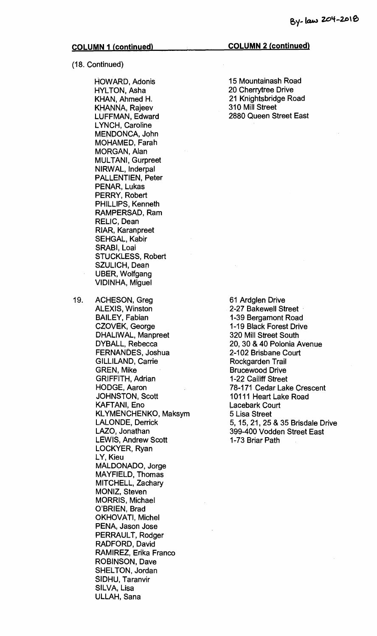(18. Continued)

HOWARD, Adonis HYLTON, Asha KHAN, Ahmed H. KHANNA, Rajeev LUFFMAN, Edward LYNCH, Caroline MENDONCA, John MOHAMED, Farah MORGAN, Alan MULTANI, Gurpreet NIRWAL, Inderpal PALLENTIEN, Peter PENAR, Lukas PERRY, Robert PHILLIPS, Kenneth RAMPERSAD, Ram RELIC, Dean RIAR, Karanpreet SEHGAL, Kabir SRABI, Loai STUCKLESS, Robert SZULICH, Dean UBER, Wolfgang VIDINHA, Miguel

19. ACHESON, Greg ALEXIS, Winston BAILEY, Fabian CZOVEK, George DHALIWAL, Manpreet DYBALL, Rebecca FERNANDES, Joshua GILLILAND, Carrie GREN, Mike GRIFFITH, Adrian HODGE, Aaron JOHNSTON, Scott KAFTAN!, Eno KLYMENCHENKO, Maksym LALONDE, Derrick LAZO, Jonathan LEWIS, Andrew Scott LOCKYER, Ryan LY, Kieu MALDONADO, Jorge MAYFIELD, Thomas MITCHELL, Zachary MONIZ, Steven MORRIS, Michael O'BRIEN, Brad OKHOVATI, Michel PENA, Jason Jose PERRAULT, Rodger RADFORD, David RAMIREZ, Erika Franco ROBINSON, Dave SHELTON, Jordan SIDHU, Taranvir SILVA, Lisa ULLAH, Sana

**COLUMN 2 (continued)** 

15 Mountainash Road 20 Cherrytree Drive 21 Knightsbridge Road 310 Mill Street 2880 Queen Street East

61 Ardglen Drive 2-27 Bakewell Street 1-39 Bergamont Road 1-19 Black Forest Drive 320 Mill Street South 20, 30 & 40 Polonia Avenue 2-102 Brisbane Court Rockgarden Trail Brucewood Drive 1-22 Cailiff Street 78-171 Cedar Lake Crescent 10111 Heart Lake Road Lacebark Court 5 Lisa Street 5, 15, 21, 25 & 35 Brisdale Drive 399-400 Vodden Street East 1-73 Briar Path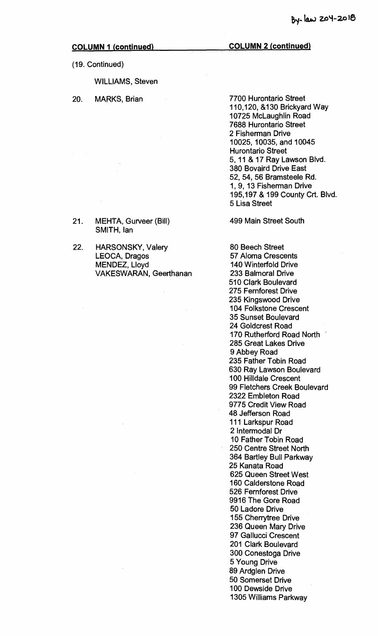**(19. Continued)** 

**WILLIAMS, Steven** 

**21. MEHTA, Gurveer (Bill) SMITH, Ian** 

**22. HARSONSKY, Valery LEOCA, Dragos MENDEZ, Lloyd** 

**VAKESWARAN, Geerthanan** 

**20. MARKS, Brian** 

**COLUMN 2 (continued)** 

**7700 Hurontario Street 110,120, &130 Brickyard Way 10725 McLaughlin Road 7688 Hurontario Street 2 Fisherman Drive 10025, 10035, and 10045 Hurontario Street 5, 11 & 17 Ray Lawson Blvd. 380 Bovaird Drive East 52, 54, 56 Bramsteele Rd. 1, 9, 13 Fisherman Drive 195,197 & 199 County Crt, Blvd. 5 Lisa Street** 

**499 Main Street South** 

**80 Beech Street 57 Aloma Crescents 140 Winterfold Drive 233 Balmoral Drive 510 Clark Boulevard 275 Femforest Drive 235 Kingswood Drive 104 Folkstone Crescent 35 Sunset Boulevard 24 Goldcrest Road 170 Rutherford Road North ' 285 Great Lakes Drive 9 Abbey Road 235 Father Tobin Road 630 Ray Lawson Boulevard 100 Hilldale Crescent 99 Fletchers Creek Boulevard 2322 Embleton Road 9775 Credit View Road 48 Jefferson Road 111 Larkspur Road 2 Intermodal Dr 10 Father Tobin Road 250 Centre Street North 364 Bartley Bull Parkway 25 Kanata Road 625 Queen Street West 160 Calderstone Road 526 Fernforest Drive 9916 The Gore Road 50 Ladore Drive 155 Cherrytree Drive 236 Queen Mary Drive 97 Gallucci Crescent 201 Clark Boulevard 300 Conestoga Drive 5 Young Drive 89 Ardglen Drive 50 Somerset Drive 100 Dewside Drive 1305 Williams Parkway**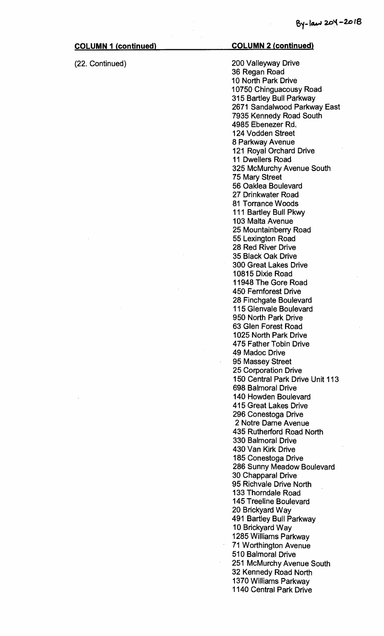### (22. Continued)

# **COLUMN 2 (continued)**

200 Valleyway Drive 36 Regan Road 10 North Park Drive 10750 Chinguacousy Road 315 Bartley Bull Parkway 2671 Sandalwood Parkway East 7935 Kennedy Road South 4985 Ebenezer Rd. 124 Vodden Street 8 Parkway Avenue 121 Royal Orchard Drive 11 Dwellers Road 325 McMurchy Avenue South 75 Mary Street 56 Oaklea Boulevard 27 Drinkwater Road 81 Torrance Woods 111 Bartley Bull Pkwy 103 Malta Avenue 25 Mountainberry Road 55 Lexington Road 28 Red River Drive 35 Black Oak Drive 300 Great Lakes Drive 10815 Dixie Road 11948 The Gore Road 450 Fernforest Drive 28 Finchgate Boulevard 115 Glenvale Boulevard 950 North Park Drive 63 Glen Forest Road 1025 North Park Drive 475 Father Tobin Drive 49 Madoc Drive 95 Massey Street 25 Corporation Drive 150 Central Park Drive Unit 113 698 Balmoral Drive 140 Howden Boulevard 415 Great Lakes Drive 296 Conestoga Drive 2 Notre Dame Avenue 435 Rutherford Road North 330 Balmoral Drive 430 Van Kirk Drive 185 Conestoga Drive 286 Sunny Meadow Boulevard 30 Chapparal Drive 95 Richvale Drive North 133 Thorndale Road 145 Treeline Boulevard 20 Brickyard Way 491 Bartley Bull Parkway 10 Brickyard Way 1285 Williams Parkway 71 Worthington Avenue 510 Balmoral Drive 251 McMurchy Avenue South 32 Kennedy Road North 1370 Williams Parkway 1140 Central Park Drive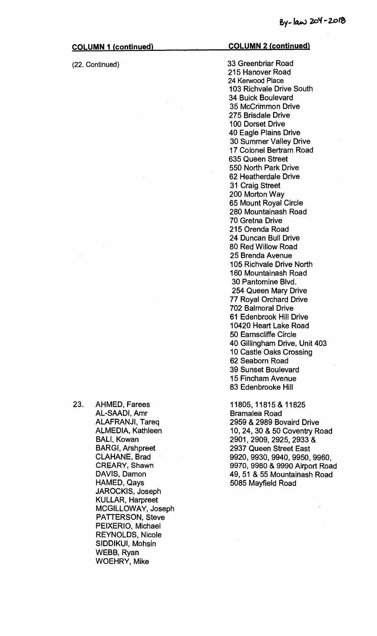**(22. Continued)** 

### **COLUMN 2 (continued)**

33 Greenbriar Road 215 Hanover Road 24 Kerwood Place 103 Richvale Drive South 34 Buick Boulevard 35 McCrimmon Drive 275 Brisdale Drive 100 Dorset Drive 40 Eagle Plains Drive 30 Summer Valley Drive 17 Colonel Bertram Road 635 Queen Street 550 North Park Drive 62 Heatherdale Drive 31 Craig Street 200 Morton Way 65 Mount Royal Circle 280 Mountainash Road 70 Gretna Drive 215 Orenda Road 24 Duncan Bull Drive 80 Red Willow Road 25 Brenda Avenue 105 Richvale Drive North 160 Mountainash Road 30 Pantomine Blvd. 254 Queen Mary Drive 77 Royal Orchard Drive 702 Balmoral Drive 61 Edenbrook Hill Drive 10420 Heart Lake Road 50 Eamscliffe Circle 40 Gillingham Drive, Unit 403 10 Castle Oaks Crossing 62 Seaborn Road 39 Sunset Boulevard 15 Fincham Avenue 83 Edenbrooke Hill

11805, 11815 & 11825 Bramalea Road 2959 & 2989 Bovaird Drive 10, 24, 30 & 50 Coventry Road 2901, 2909, 2925, 2933 & 2937 Queen Street East 9920, 9930, 9940, 9950, 9960, 9970, 9980 & 9990 Airport Road 49, 51 & 55 Mountainash Road 5085 Mayfield Road

**23.** AHMED, Farees AL-SAADI, Amr ALAFRANJI, Tareq ALMEDIA, Kathleen BALI, Kowan BARGI, Arshpreet CLAHANE, Brad CREARY, Shawn DAVIS, Damon HAMED, Qays JAROCKIS, Joseph KULLAR, Harpreet MCGILLOWAY, Joseph PATTERSON, Steve PEIXERIO, Michael REYNOLDS, Nicole SIDDIKUI, Mohsin WEBB, Ryan WOEHRY, Mike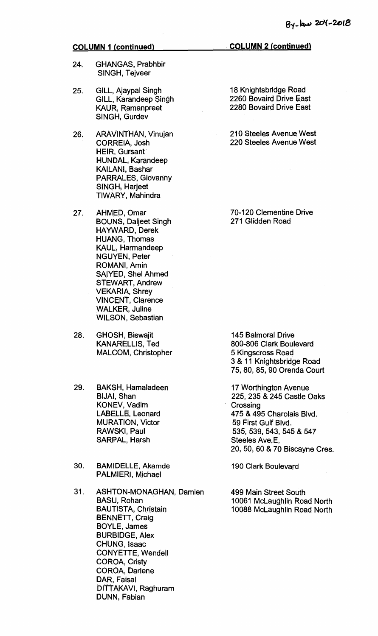- 24. GHANGAS, Prabhbir SINGH, Tejveer
- 25. GILL, Ajaypal Singh GILL, Karandeep Singh KAUR, Ramanpreet SINGH, Gurdev
- 26. ARAVINTHAN, Vinujan CORREIA, Josh HEIR, Gursant HUNDAL, Karandeep KAILANI, Bashar PARRALES, Giovanny SINGH, Harjeet TIWARY, Mahindra
- 27. AHMED, Omar BOUNS, Daljeet Singh HAYWARD, Derek HUANG, Thomas KAUL, Harmandeep NGUYEN, Peter ROMANI, Amin SAIYED, Shel Ahmed STEWART, Andrew VEKARIA, Shrey VINCENT, Clarence WALKER, Juline WILSON, Sebastian
- 28. GHOSH, Biswajit KANARELLIS, Ted MALCOM, Christopher
- 29. BAKSH, Hamaladeen BIJAI, Shan KONEV, Vadim LABELLE, Leonard MURATION, Victor RAWSKI, Paul SARPAL, Harsh
- 30. BAMIDELLE, Akamde PALMIERI, Michael
- 31. ASHTON-MONAGHAN, Damien BASU, Rohan BAUTISTA, Christain BENNETT, Craig BOYLE, James BURBIDGE, Alex CHUNG, Isaac CONYETTE, Wendell COROA, Cristy COROA, Darlene DAR, Faisal DITTAKAVI, Raghuram DUNN, Fabian

18 Knightsbridge Road 2260 Bovaird Drive East 2280 Bovaird Drive East

210 Steeles Avenue West 220 Steeles Avenue West

70-120 Clementine Drive 271 Glidden Road

145 Balmoral Drive 800-806 Clark Boulevard 5 Kingscross Road 3 & 11 Knightsbridge Road 75, 80, 85, 90 Orenda Court

17 Worthington Avenue 225, 235 & 245 Castle Oaks **Crossing** 475 & 495 Charolais Blvd. 59 First Gulf Blvd. 535, 539, 543, 545 & 547 Steeles Ave.E. 20, 50, 60 & 70 Biscayne Cres.

190 Clark Boulevard

499 Main Street South 10061 McLaughlin Road North 10088 McLaughlin Road North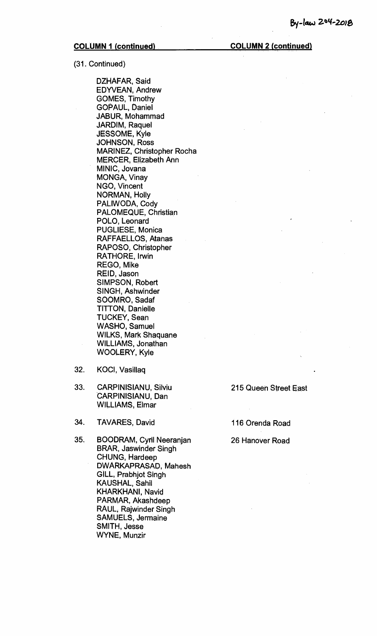(31. Continued)

DZHAFAR, Said EDYVEAN, Andrew GOMES, Timothy GOPAUL, Daniel JABUR, Mohammad JARDIM, Raquel JESSOME, Kyle JOHNSON, Ross MARINEZ, Christopher Rocha MERCER, Elizabeth Ann MINIC, Jovana MONGA, Vinay NGO, Vincent NORMAN, Holly PALIWODA, Cody PALOMEQUE, Christian POLO, Leonard PUGLIESE, Monica RAFFAELLOS, Atanas RAPOSO, Christopher RATHORE, Irwin REGO, Mike REID, Jason SIMPSON, Robert SINGH, Ashwinder SOOMRO, Sadaf TITTON, Danielle TUCKEY, Sean WASHO, Samuel WILKS, Mark Shaquane WILLIAMS, Jonathan WOOLERY, Kyle

- 32. KOCI, Vasillaq
- 33. CARPINISIANU, Silviu 215 Queen Street East CARPINISIANU, Dan WILLIAMS, Elmar
- 34. TAVARES, David 116 Orenda Road
- 35. BOODRAM, Cyril Neeranjan 26 Hanover Road BRAR, Jaswinder Singh CHUNG, Hardeep DWARKAPRASAD, Mahesh GILL, Prabhjot Singh KAUSHAL, Sahil KHARKHANI, Navid PARMAR, Akashdeep RAUL, Rajwinder Singh SAMUELS, Jermaine SMITH, Jesse WYNE, Munzir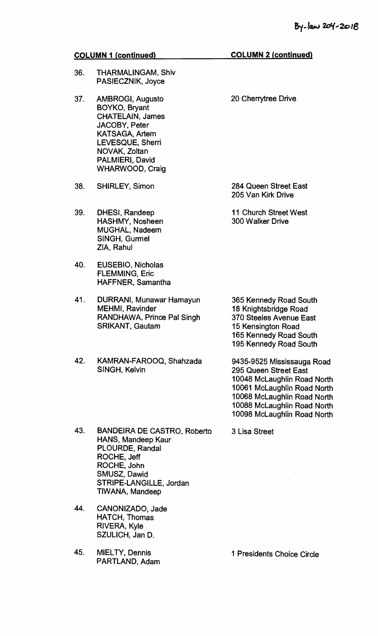- 36. THARMALINGAM, Shiv PASIECZNIK, Joyce
- 37. AMBROGI, Augusto 20 Cherrytree Drive BOYKO, Bryant CHATELAIN, James JACOBY, Peter KATSAGA, Artem LEVESQUE, Sherri NOVAK, Zoltan PALMIERI, David WHARWOOD, Craig
- 38. SHIRLEY, Simon
- 39. DHESI, Randeep HASHMY, Nosheen MUGHAL, Nadeem SINGH, Gurmel ZIA, Rahul
- 40. EUSEBIO, Nicholas FLEMMING, Eric HAFFNER, Samantha
- 41. DURRANI, Munawar Hamayun MEHMI, Ravinder RANDHAWA, Prince Pal Singh SRIKANT, Gautam
- 42. KAMRAN-FAROOQ, Shahzada SINGH, Kelvin
- 43. BANDEIRA DE CASTRO, Roberto HANS, Mandeep Kaur PLOURDE, Randal ROCHE, Jeff ROCHE, John SMUSZ, Dawid STRIPE-LANGILLE, Jordan TIWANA, Mandeep
- 44. CANONIZADO, Jade HATCH, Thomas RIVERA, Kyle SZULICH, Jan D.
- 45. MIELTY, Dennis 1 Presidents Choice Circle PARTLAND, Adam

284 Queen Street East 205 Van Kirk Drive

11 Church Street West 300 Walker Drive

365 Kennedy Road South 18 Knightsbridge Road 370 Steeles Avenue East 15 Kensington Road 165 Kennedy Road South 195 Kennedy Road South

9435-9525 Mississauga Road 295 Queen Street East 10048 McLaughlin Road North 10061 McLaughlin Road North 10068 McLaughlin Road North 10088 McLaughlin Road North 10098 McLaughlin Road North

3 Lisa Street